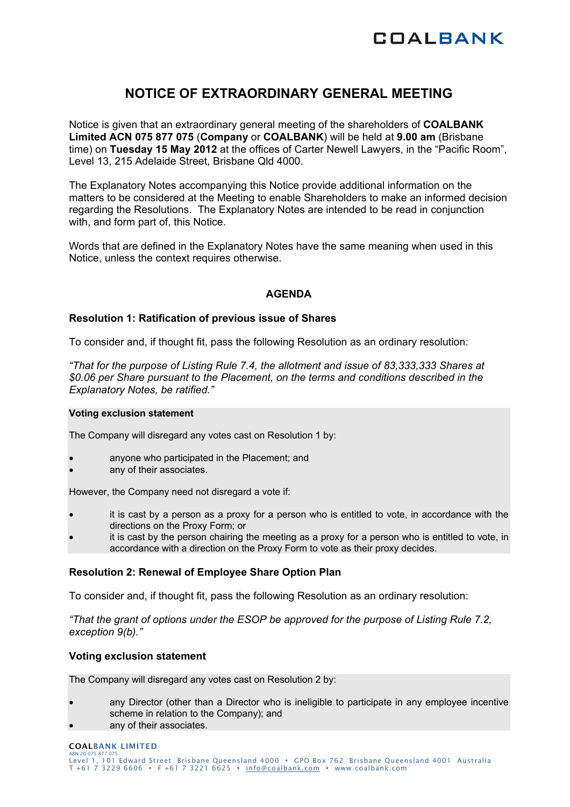

# **NOTICE OF EXTRAORDINARY GENERAL MEETING**

Notice is given that an extraordinary general meeting of the shareholders of **COALBANK Limited ACN 075 877 075** (**Company** or **COALBANK**) will be held at **9.00 am** (Brisbane time) on **Tuesday 15 May 2012** at the offices of Carter Newell Lawyers, in the "Pacific Room", Level 13, 215 Adelaide Street, Brisbane Qld 4000.

The Explanatory Notes accompanying this Notice provide additional information on the matters to be considered at the Meeting to enable Shareholders to make an informed decision regarding the Resolutions. The Explanatory Notes are intended to be read in conjunction with, and form part of, this Notice.

Words that are defined in the Explanatory Notes have the same meaning when used in this Notice, unless the context requires otherwise.

# **AGENDA**

### **Resolution 1: Ratification of previous issue of Shares**

To consider and, if thought fit, pass the following Resolution as an ordinary resolution:

*"That for the purpose of Listing Rule 7.4, the allotment and issue of 83,333,333 Shares at \$0.06 per Share pursuant to the Placement, on the terms and conditions described in the Explanatory Notes, be ratified."* 

#### **Voting exclusion statement**

The Company will disregard any votes cast on Resolution 1 by:

- anyone who participated in the Placement; and
- any of their associates.

However, the Company need not disregard a vote if:

- it is cast by a person as a proxy for a person who is entitled to vote, in accordance with the directions on the Proxy Form; or
- it is cast by the person chairing the meeting as a proxy for a person who is entitled to vote, in accordance with a direction on the Proxy Form to vote as their proxy decides.

### **Resolution 2: Renewal of Employee Share Option Plan**

To consider and, if thought fit, pass the following Resolution as an ordinary resolution:

*"That the grant of options under the ESOP be approved for the purpose of Listing Rule 7.2, exception 9(b)."* 

## **Voting exclusion statement**

The Company will disregard any votes cast on Resolution 2 by:

- any Director (other than a Director who is ineligible to participate in any employee incentive scheme in relation to the Company); and
- any of their associates.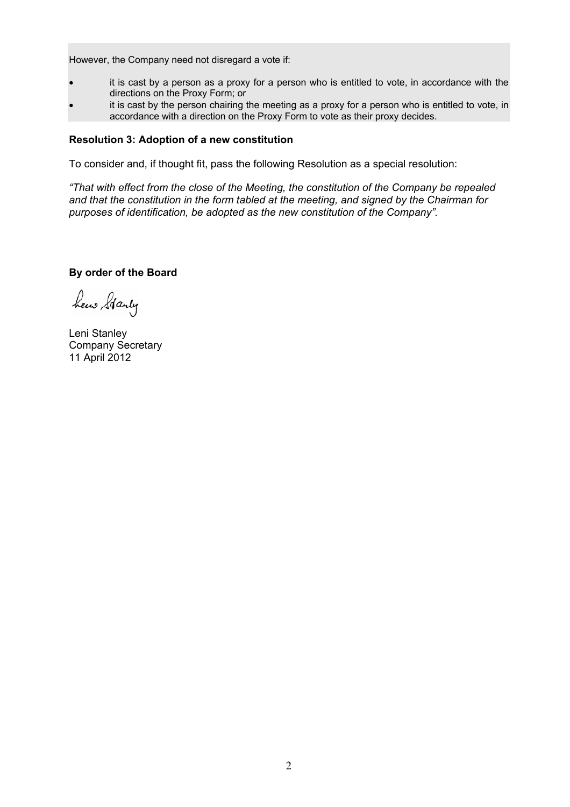However, the Company need not disregard a vote if:

- it is cast by a person as a proxy for a person who is entitled to vote, in accordance with the directions on the Proxy Form; or
- it is cast by the person chairing the meeting as a proxy for a person who is entitled to vote, in accordance with a direction on the Proxy Form to vote as their proxy decides.

#### **Resolution 3: Adoption of a new constitution**

To consider and, if thought fit, pass the following Resolution as a special resolution:

*"That with effect from the close of the Meeting, the constitution of the Company be repealed and that the constitution in the form tabled at the meeting, and signed by the Chairman for purposes of identification, be adopted as the new constitution of the Company".* 

**By order of the Board** 

hew Starty

Leni Stanley Company Secretary 11 April 2012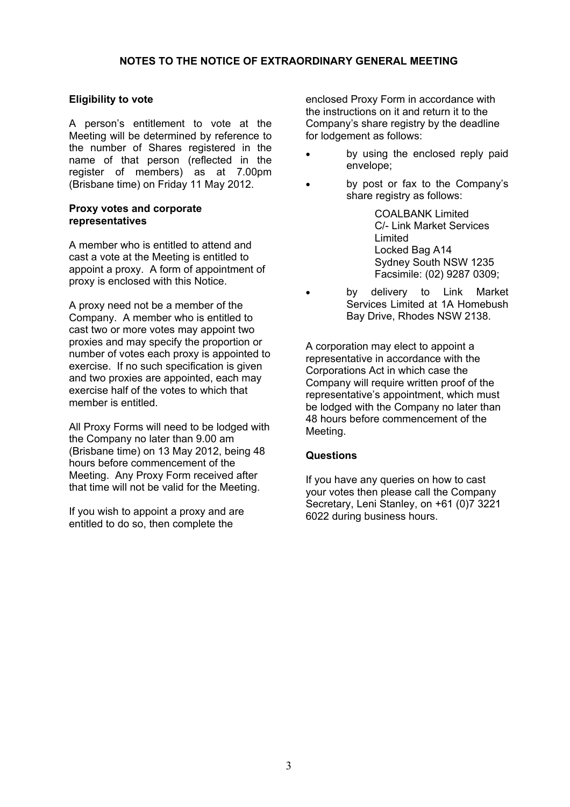# **Eligibility to vote**

A person's entitlement to vote at the Meeting will be determined by reference to the number of Shares registered in the name of that person (reflected in the register of members) as at 7.00pm (Brisbane time) on Friday 11 May 2012.

# **Proxy votes and corporate representatives**

A member who is entitled to attend and cast a vote at the Meeting is entitled to appoint a proxy. A form of appointment of proxy is enclosed with this Notice.

A proxy need not be a member of the Company. A member who is entitled to cast two or more votes may appoint two proxies and may specify the proportion or number of votes each proxy is appointed to exercise. If no such specification is given and two proxies are appointed, each may exercise half of the votes to which that member is entitled.

All Proxy Forms will need to be lodged with the Company no later than 9.00 am (Brisbane time) on 13 May 2012, being 48 hours before commencement of the Meeting. Any Proxy Form received after that time will not be valid for the Meeting.

If you wish to appoint a proxy and are entitled to do so, then complete the

enclosed Proxy Form in accordance with the instructions on it and return it to the Company's share registry by the deadline for lodgement as follows:

- by using the enclosed reply paid envelope;
- by post or fax to the Company's share registry as follows:

COALBANK Limited C/- Link Market Services Limited Locked Bag A14 Sydney South NSW 1235 Facsimile: (02) 9287 0309;

by delivery to Link Market Services Limited at 1A Homebush Bay Drive, Rhodes NSW 2138.

A corporation may elect to appoint a representative in accordance with the Corporations Act in which case the Company will require written proof of the representative's appointment, which must be lodged with the Company no later than 48 hours before commencement of the Meeting.

# **Questions**

If you have any queries on how to cast your votes then please call the Company Secretary, Leni Stanley, on +61 (0)7 3221 6022 during business hours.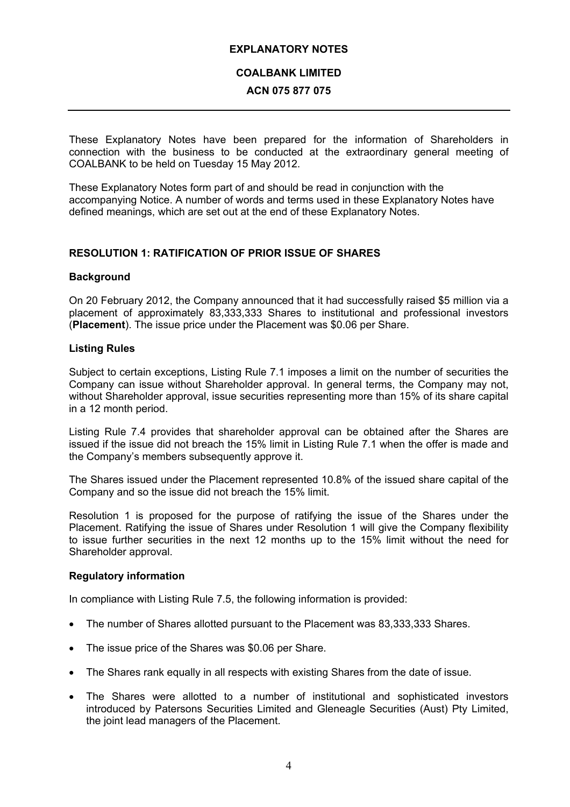# **EXPLANATORY NOTES**

# **COALBANK LIMITED**

# **ACN 075 877 075**

These Explanatory Notes have been prepared for the information of Shareholders in connection with the business to be conducted at the extraordinary general meeting of COALBANK to be held on Tuesday 15 May 2012.

These Explanatory Notes form part of and should be read in conjunction with the accompanying Notice. A number of words and terms used in these Explanatory Notes have defined meanings, which are set out at the end of these Explanatory Notes.

# **RESOLUTION 1: RATIFICATION OF PRIOR ISSUE OF SHARES**

# **Background**

On 20 February 2012, the Company announced that it had successfully raised \$5 million via a placement of approximately 83,333,333 Shares to institutional and professional investors (**Placement**). The issue price under the Placement was \$0.06 per Share.

# **Listing Rules**

Subject to certain exceptions, Listing Rule 7.1 imposes a limit on the number of securities the Company can issue without Shareholder approval. In general terms, the Company may not, without Shareholder approval, issue securities representing more than 15% of its share capital in a 12 month period.

Listing Rule 7.4 provides that shareholder approval can be obtained after the Shares are issued if the issue did not breach the 15% limit in Listing Rule 7.1 when the offer is made and the Company's members subsequently approve it.

The Shares issued under the Placement represented 10.8% of the issued share capital of the Company and so the issue did not breach the 15% limit.

Resolution 1 is proposed for the purpose of ratifying the issue of the Shares under the Placement. Ratifying the issue of Shares under Resolution 1 will give the Company flexibility to issue further securities in the next 12 months up to the 15% limit without the need for Shareholder approval.

### **Regulatory information**

In compliance with Listing Rule 7.5, the following information is provided:

- The number of Shares allotted pursuant to the Placement was 83,333,333 Shares.
- The issue price of the Shares was \$0.06 per Share.
- The Shares rank equally in all respects with existing Shares from the date of issue.
- The Shares were allotted to a number of institutional and sophisticated investors introduced by Patersons Securities Limited and Gleneagle Securities (Aust) Pty Limited, the joint lead managers of the Placement.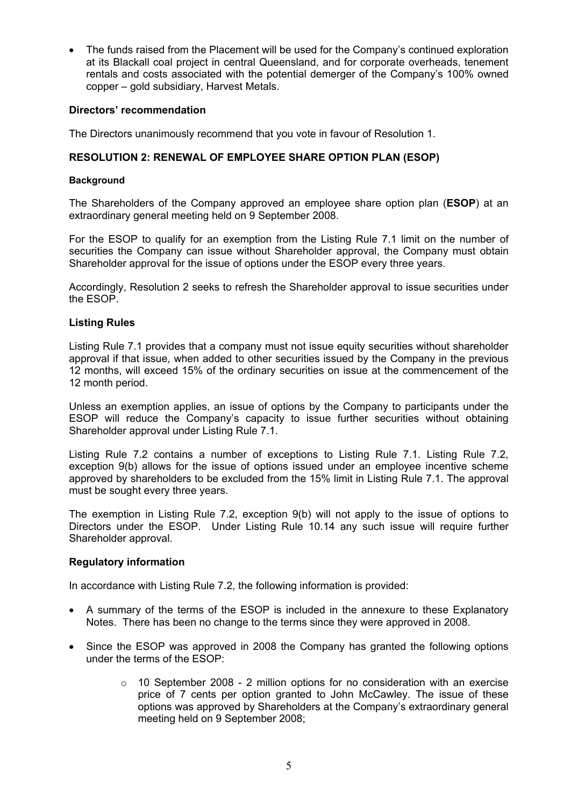• The funds raised from the Placement will be used for the Company's continued exploration at its Blackall coal project in central Queensland, and for corporate overheads, tenement rentals and costs associated with the potential demerger of the Company's 100% owned copper – gold subsidiary, Harvest Metals.

# **Directors' recommendation**

The Directors unanimously recommend that you vote in favour of Resolution 1.

# **RESOLUTION 2: RENEWAL OF EMPLOYEE SHARE OPTION PLAN (ESOP)**

#### **Background**

The Shareholders of the Company approved an employee share option plan (**ESOP**) at an extraordinary general meeting held on 9 September 2008.

For the ESOP to qualify for an exemption from the Listing Rule 7.1 limit on the number of securities the Company can issue without Shareholder approval, the Company must obtain Shareholder approval for the issue of options under the ESOP every three years.

Accordingly, Resolution 2 seeks to refresh the Shareholder approval to issue securities under the ESOP.

### **Listing Rules**

Listing Rule 7.1 provides that a company must not issue equity securities without shareholder approval if that issue, when added to other securities issued by the Company in the previous 12 months, will exceed 15% of the ordinary securities on issue at the commencement of the 12 month period.

Unless an exemption applies, an issue of options by the Company to participants under the ESOP will reduce the Company's capacity to issue further securities without obtaining Shareholder approval under Listing Rule 7.1.

Listing Rule 7.2 contains a number of exceptions to Listing Rule 7.1. Listing Rule 7.2, exception 9(b) allows for the issue of options issued under an employee incentive scheme approved by shareholders to be excluded from the 15% limit in Listing Rule 7.1. The approval must be sought every three years.

The exemption in Listing Rule 7.2, exception 9(b) will not apply to the issue of options to Directors under the ESOP. Under Listing Rule 10.14 any such issue will require further Shareholder approval.

### **Regulatory information**

In accordance with Listing Rule 7.2, the following information is provided:

- A summary of the terms of the ESOP is included in the annexure to these Explanatory Notes. There has been no change to the terms since they were approved in 2008.
- Since the ESOP was approved in 2008 the Company has granted the following options under the terms of the ESOP:
	- $\circ$  10 September 2008 2 million options for no consideration with an exercise price of 7 cents per option granted to John McCawley. The issue of these options was approved by Shareholders at the Company's extraordinary general meeting held on 9 September 2008;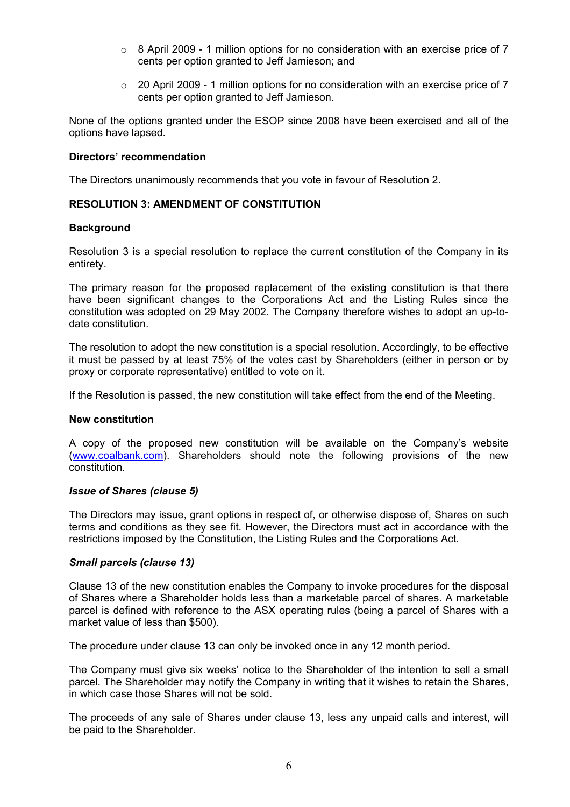- $\circ$  8 April 2009 1 million options for no consideration with an exercise price of 7 cents per option granted to Jeff Jamieson; and
- $\degree$  20 April 2009 1 million options for no consideration with an exercise price of 7 cents per option granted to Jeff Jamieson.

None of the options granted under the ESOP since 2008 have been exercised and all of the options have lapsed.

## **Directors' recommendation**

The Directors unanimously recommends that you vote in favour of Resolution 2.

# **RESOLUTION 3: AMENDMENT OF CONSTITUTION**

# **Background**

Resolution 3 is a special resolution to replace the current constitution of the Company in its entirety.

The primary reason for the proposed replacement of the existing constitution is that there have been significant changes to the Corporations Act and the Listing Rules since the constitution was adopted on 29 May 2002. The Company therefore wishes to adopt an up-todate constitution.

The resolution to adopt the new constitution is a special resolution. Accordingly, to be effective it must be passed by at least 75% of the votes cast by Shareholders (either in person or by proxy or corporate representative) entitled to vote on it.

If the Resolution is passed, the new constitution will take effect from the end of the Meeting.

### **New constitution**

A copy of the proposed new constitution will be available on the Company's website (www.coalbank.com). Shareholders should note the following provisions of the new constitution.

### *Issue of Shares (clause 5)*

The Directors may issue, grant options in respect of, or otherwise dispose of, Shares on such terms and conditions as they see fit. However, the Directors must act in accordance with the restrictions imposed by the Constitution, the Listing Rules and the Corporations Act.

### *Small parcels (clause 13)*

Clause 13 of the new constitution enables the Company to invoke procedures for the disposal of Shares where a Shareholder holds less than a marketable parcel of shares. A marketable parcel is defined with reference to the ASX operating rules (being a parcel of Shares with a market value of less than \$500).

The procedure under clause 13 can only be invoked once in any 12 month period.

The Company must give six weeks' notice to the Shareholder of the intention to sell a small parcel. The Shareholder may notify the Company in writing that it wishes to retain the Shares, in which case those Shares will not be sold.

The proceeds of any sale of Shares under clause 13, less any unpaid calls and interest, will be paid to the Shareholder.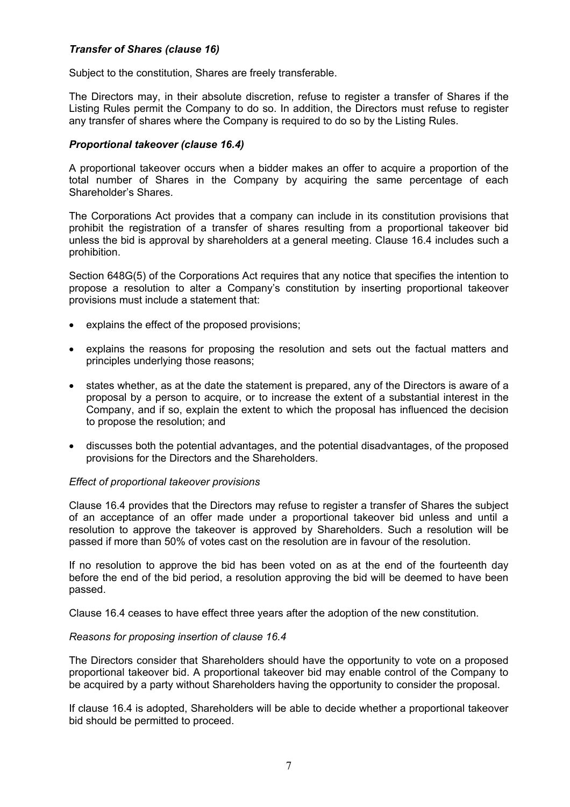# *Transfer of Shares (clause 16)*

Subject to the constitution, Shares are freely transferable.

The Directors may, in their absolute discretion, refuse to register a transfer of Shares if the Listing Rules permit the Company to do so. In addition, the Directors must refuse to register any transfer of shares where the Company is required to do so by the Listing Rules.

# *Proportional takeover (clause 16.4)*

A proportional takeover occurs when a bidder makes an offer to acquire a proportion of the total number of Shares in the Company by acquiring the same percentage of each Shareholder's Shares.

The Corporations Act provides that a company can include in its constitution provisions that prohibit the registration of a transfer of shares resulting from a proportional takeover bid unless the bid is approval by shareholders at a general meeting. Clause 16.4 includes such a prohibition.

Section 648G(5) of the Corporations Act requires that any notice that specifies the intention to propose a resolution to alter a Company's constitution by inserting proportional takeover provisions must include a statement that:

- explains the effect of the proposed provisions;
- explains the reasons for proposing the resolution and sets out the factual matters and principles underlying those reasons;
- states whether, as at the date the statement is prepared, any of the Directors is aware of a proposal by a person to acquire, or to increase the extent of a substantial interest in the Company, and if so, explain the extent to which the proposal has influenced the decision to propose the resolution; and
- discusses both the potential advantages, and the potential disadvantages, of the proposed provisions for the Directors and the Shareholders.

### *Effect of proportional takeover provisions*

Clause 16.4 provides that the Directors may refuse to register a transfer of Shares the subject of an acceptance of an offer made under a proportional takeover bid unless and until a resolution to approve the takeover is approved by Shareholders. Such a resolution will be passed if more than 50% of votes cast on the resolution are in favour of the resolution.

If no resolution to approve the bid has been voted on as at the end of the fourteenth day before the end of the bid period, a resolution approving the bid will be deemed to have been passed.

Clause 16.4 ceases to have effect three years after the adoption of the new constitution.

### *Reasons for proposing insertion of clause 16.4*

The Directors consider that Shareholders should have the opportunity to vote on a proposed proportional takeover bid. A proportional takeover bid may enable control of the Company to be acquired by a party without Shareholders having the opportunity to consider the proposal.

If clause 16.4 is adopted, Shareholders will be able to decide whether a proportional takeover bid should be permitted to proceed.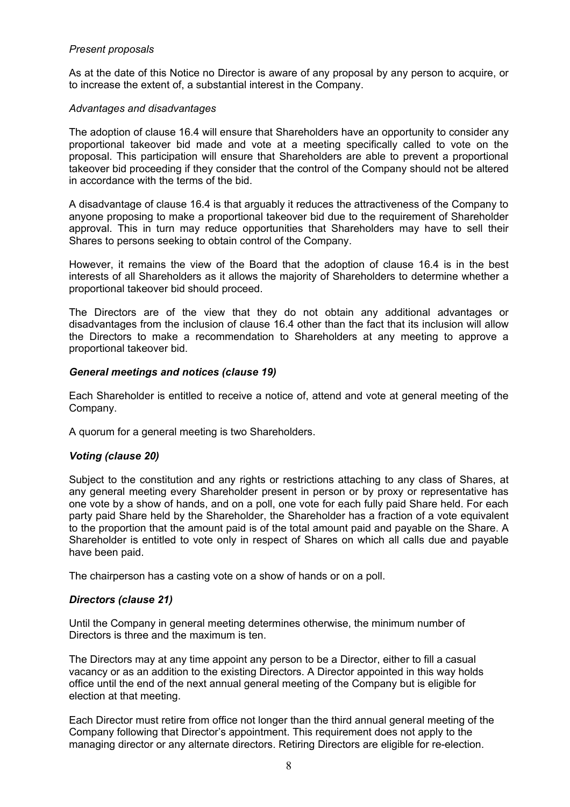# *Present proposals*

As at the date of this Notice no Director is aware of any proposal by any person to acquire, or to increase the extent of, a substantial interest in the Company.

# *Advantages and disadvantages*

The adoption of clause 16.4 will ensure that Shareholders have an opportunity to consider any proportional takeover bid made and vote at a meeting specifically called to vote on the proposal. This participation will ensure that Shareholders are able to prevent a proportional takeover bid proceeding if they consider that the control of the Company should not be altered in accordance with the terms of the bid.

A disadvantage of clause 16.4 is that arguably it reduces the attractiveness of the Company to anyone proposing to make a proportional takeover bid due to the requirement of Shareholder approval. This in turn may reduce opportunities that Shareholders may have to sell their Shares to persons seeking to obtain control of the Company.

However, it remains the view of the Board that the adoption of clause 16.4 is in the best interests of all Shareholders as it allows the majority of Shareholders to determine whether a proportional takeover bid should proceed.

The Directors are of the view that they do not obtain any additional advantages or disadvantages from the inclusion of clause 16.4 other than the fact that its inclusion will allow the Directors to make a recommendation to Shareholders at any meeting to approve a proportional takeover bid.

# *General meetings and notices (clause 19)*

Each Shareholder is entitled to receive a notice of, attend and vote at general meeting of the Company.

A quorum for a general meeting is two Shareholders.

# *Voting (clause 20)*

Subject to the constitution and any rights or restrictions attaching to any class of Shares, at any general meeting every Shareholder present in person or by proxy or representative has one vote by a show of hands, and on a poll, one vote for each fully paid Share held. For each party paid Share held by the Shareholder, the Shareholder has a fraction of a vote equivalent to the proportion that the amount paid is of the total amount paid and payable on the Share. A Shareholder is entitled to vote only in respect of Shares on which all calls due and payable have been paid.

The chairperson has a casting vote on a show of hands or on a poll.

# *Directors (clause 21)*

Until the Company in general meeting determines otherwise, the minimum number of Directors is three and the maximum is ten.

The Directors may at any time appoint any person to be a Director, either to fill a casual vacancy or as an addition to the existing Directors. A Director appointed in this way holds office until the end of the next annual general meeting of the Company but is eligible for election at that meeting.

Each Director must retire from office not longer than the third annual general meeting of the Company following that Director's appointment. This requirement does not apply to the managing director or any alternate directors. Retiring Directors are eligible for re-election.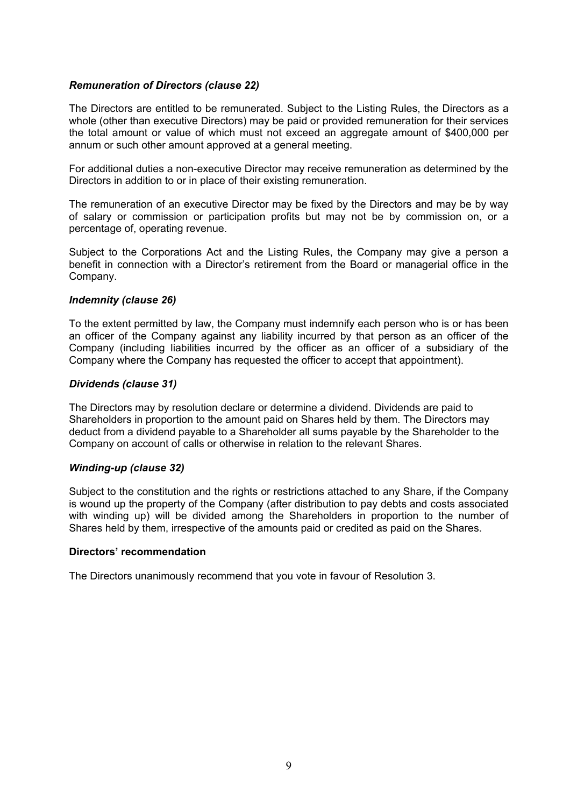# *Remuneration of Directors (clause 22)*

The Directors are entitled to be remunerated. Subject to the Listing Rules, the Directors as a whole (other than executive Directors) may be paid or provided remuneration for their services the total amount or value of which must not exceed an aggregate amount of \$400,000 per annum or such other amount approved at a general meeting.

For additional duties a non-executive Director may receive remuneration as determined by the Directors in addition to or in place of their existing remuneration.

The remuneration of an executive Director may be fixed by the Directors and may be by way of salary or commission or participation profits but may not be by commission on, or a percentage of, operating revenue.

Subject to the Corporations Act and the Listing Rules, the Company may give a person a benefit in connection with a Director's retirement from the Board or managerial office in the Company.

### *Indemnity (clause 26)*

To the extent permitted by law, the Company must indemnify each person who is or has been an officer of the Company against any liability incurred by that person as an officer of the Company (including liabilities incurred by the officer as an officer of a subsidiary of the Company where the Company has requested the officer to accept that appointment).

### *Dividends (clause 31)*

The Directors may by resolution declare or determine a dividend. Dividends are paid to Shareholders in proportion to the amount paid on Shares held by them. The Directors may deduct from a dividend payable to a Shareholder all sums payable by the Shareholder to the Company on account of calls or otherwise in relation to the relevant Shares.

### *Winding-up (clause 32)*

Subject to the constitution and the rights or restrictions attached to any Share, if the Company is wound up the property of the Company (after distribution to pay debts and costs associated with winding up) will be divided among the Shareholders in proportion to the number of Shares held by them, irrespective of the amounts paid or credited as paid on the Shares.

### **Directors' recommendation**

The Directors unanimously recommend that you vote in favour of Resolution 3.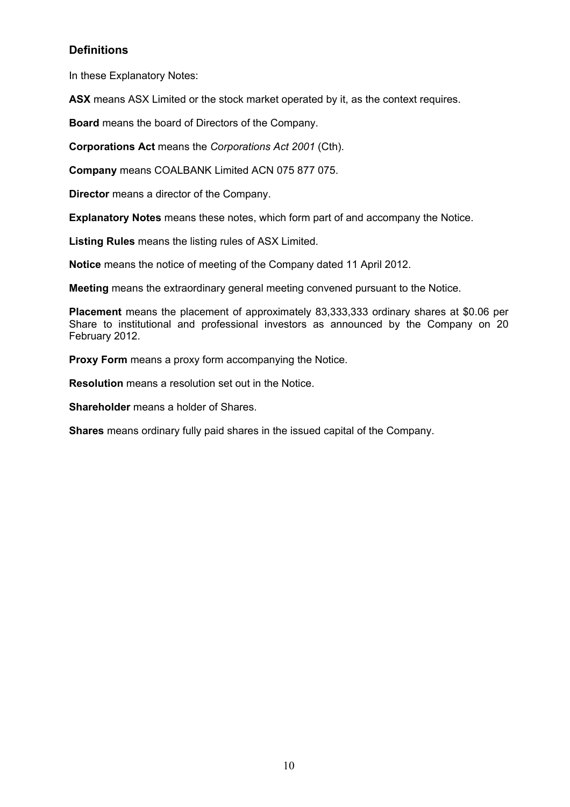# **Definitions**

In these Explanatory Notes:

**ASX** means ASX Limited or the stock market operated by it, as the context requires.

**Board** means the board of Directors of the Company.

**Corporations Act** means the *Corporations Act 2001* (Cth).

**Company** means COALBANK Limited ACN 075 877 075.

**Director** means a director of the Company.

**Explanatory Notes** means these notes, which form part of and accompany the Notice.

**Listing Rules** means the listing rules of ASX Limited.

**Notice** means the notice of meeting of the Company dated 11 April 2012.

**Meeting** means the extraordinary general meeting convened pursuant to the Notice.

**Placement** means the placement of approximately 83,333,333 ordinary shares at \$0.06 per Share to institutional and professional investors as announced by the Company on 20 February 2012.

**Proxy Form** means a proxy form accompanying the Notice.

**Resolution** means a resolution set out in the Notice.

**Shareholder** means a holder of Shares.

**Shares** means ordinary fully paid shares in the issued capital of the Company.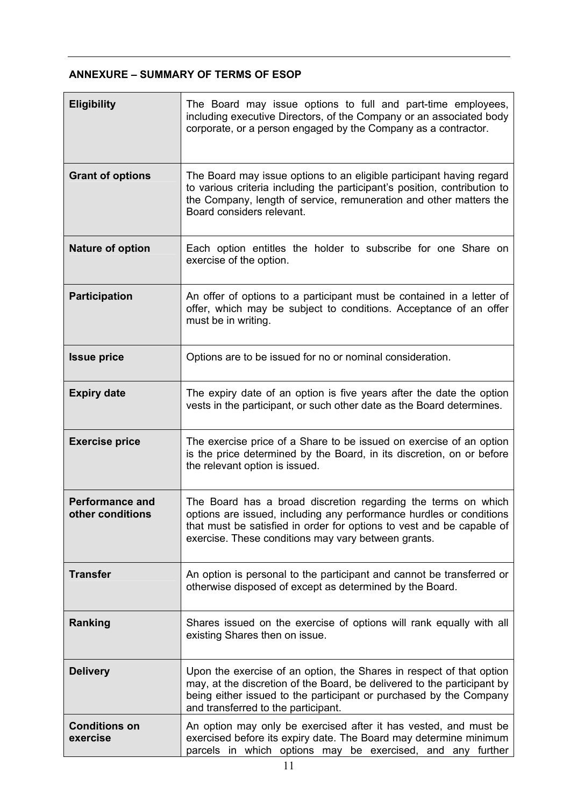# **ANNEXURE – SUMMARY OF TERMS OF ESOP**

| <b>Eligibility</b>                         | The Board may issue options to full and part-time employees,<br>including executive Directors, of the Company or an associated body<br>corporate, or a person engaged by the Company as a contractor.                                                                |
|--------------------------------------------|----------------------------------------------------------------------------------------------------------------------------------------------------------------------------------------------------------------------------------------------------------------------|
| <b>Grant of options</b>                    | The Board may issue options to an eligible participant having regard<br>to various criteria including the participant's position, contribution to<br>the Company, length of service, remuneration and other matters the<br>Board considers relevant.                 |
| <b>Nature of option</b>                    | Each option entitles the holder to subscribe for one Share on<br>exercise of the option.                                                                                                                                                                             |
| <b>Participation</b>                       | An offer of options to a participant must be contained in a letter of<br>offer, which may be subject to conditions. Acceptance of an offer<br>must be in writing.                                                                                                    |
| <b>Issue price</b>                         | Options are to be issued for no or nominal consideration.                                                                                                                                                                                                            |
| <b>Expiry date</b>                         | The expiry date of an option is five years after the date the option<br>vests in the participant, or such other date as the Board determines.                                                                                                                        |
| <b>Exercise price</b>                      | The exercise price of a Share to be issued on exercise of an option<br>is the price determined by the Board, in its discretion, on or before<br>the relevant option is issued.                                                                                       |
| <b>Performance and</b><br>other conditions | The Board has a broad discretion regarding the terms on which<br>options are issued, including any performance hurdles or conditions<br>that must be satisfied in order for options to vest and be capable of<br>exercise. These conditions may vary between grants. |
| <b>Transfer</b>                            | An option is personal to the participant and cannot be transferred or<br>otherwise disposed of except as determined by the Board.                                                                                                                                    |
| Ranking                                    | Shares issued on the exercise of options will rank equally with all<br>existing Shares then on issue.                                                                                                                                                                |
| <b>Delivery</b>                            | Upon the exercise of an option, the Shares in respect of that option<br>may, at the discretion of the Board, be delivered to the participant by<br>being either issued to the participant or purchased by the Company<br>and transferred to the participant.         |
| <b>Conditions on</b><br>exercise           | An option may only be exercised after it has vested, and must be<br>exercised before its expiry date. The Board may determine minimum<br>parcels in which options may be exercised, and any further                                                                  |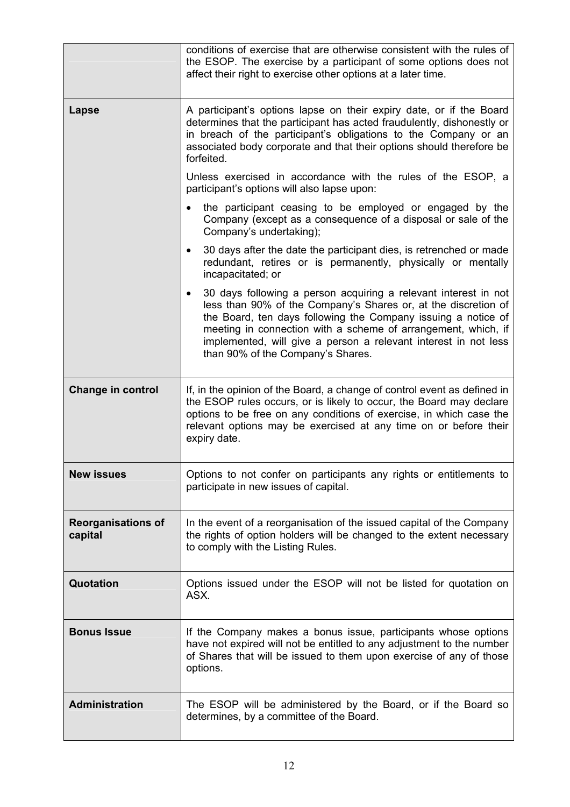|                                      | conditions of exercise that are otherwise consistent with the rules of<br>the ESOP. The exercise by a participant of some options does not<br>affect their right to exercise other options at a later time.                                                                                                                                                                              |  |  |
|--------------------------------------|------------------------------------------------------------------------------------------------------------------------------------------------------------------------------------------------------------------------------------------------------------------------------------------------------------------------------------------------------------------------------------------|--|--|
| Lapse                                | A participant's options lapse on their expiry date, or if the Board<br>determines that the participant has acted fraudulently, dishonestly or<br>in breach of the participant's obligations to the Company or an<br>associated body corporate and that their options should therefore be<br>forfeited.                                                                                   |  |  |
|                                      | Unless exercised in accordance with the rules of the ESOP, a<br>participant's options will also lapse upon:                                                                                                                                                                                                                                                                              |  |  |
|                                      | the participant ceasing to be employed or engaged by the<br>Company (except as a consequence of a disposal or sale of the<br>Company's undertaking);                                                                                                                                                                                                                                     |  |  |
|                                      | 30 days after the date the participant dies, is retrenched or made<br>$\bullet$<br>redundant, retires or is permanently, physically or mentally<br>incapacitated; or                                                                                                                                                                                                                     |  |  |
|                                      | 30 days following a person acquiring a relevant interest in not<br>$\bullet$<br>less than 90% of the Company's Shares or, at the discretion of<br>the Board, ten days following the Company issuing a notice of<br>meeting in connection with a scheme of arrangement, which, if<br>implemented, will give a person a relevant interest in not less<br>than 90% of the Company's Shares. |  |  |
| <b>Change in control</b>             | If, in the opinion of the Board, a change of control event as defined in<br>the ESOP rules occurs, or is likely to occur, the Board may declare<br>options to be free on any conditions of exercise, in which case the<br>relevant options may be exercised at any time on or before their<br>expiry date.                                                                               |  |  |
| <b>New issues</b>                    | Options to not confer on participants any rights or entitlements to<br>participate in new issues of capital.                                                                                                                                                                                                                                                                             |  |  |
| <b>Reorganisations of</b><br>capital | In the event of a reorganisation of the issued capital of the Company<br>the rights of option holders will be changed to the extent necessary<br>to comply with the Listing Rules.                                                                                                                                                                                                       |  |  |
| Quotation                            | Options issued under the ESOP will not be listed for quotation on<br>ASX.                                                                                                                                                                                                                                                                                                                |  |  |
| <b>Bonus Issue</b>                   | If the Company makes a bonus issue, participants whose options<br>have not expired will not be entitled to any adjustment to the number<br>of Shares that will be issued to them upon exercise of any of those<br>options.                                                                                                                                                               |  |  |
| Administration                       | The ESOP will be administered by the Board, or if the Board so<br>determines, by a committee of the Board.                                                                                                                                                                                                                                                                               |  |  |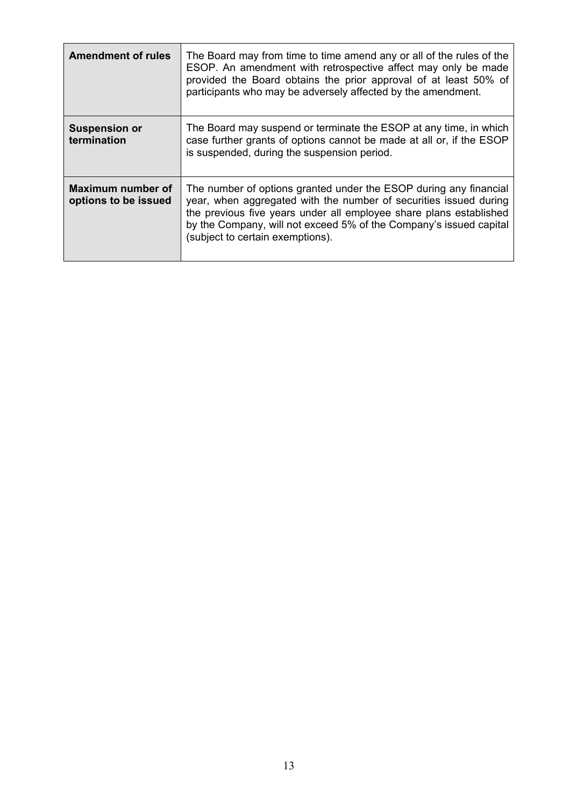| <b>Amendment of rules</b>                 | The Board may from time to time amend any or all of the rules of the<br>ESOP. An amendment with retrospective affect may only be made<br>provided the Board obtains the prior approval of at least 50% of<br>participants who may be adversely affected by the amendment.                                              |
|-------------------------------------------|------------------------------------------------------------------------------------------------------------------------------------------------------------------------------------------------------------------------------------------------------------------------------------------------------------------------|
| <b>Suspension or</b><br>termination       | The Board may suspend or terminate the ESOP at any time, in which<br>case further grants of options cannot be made at all or, if the ESOP<br>is suspended, during the suspension period.                                                                                                                               |
| Maximum number of<br>options to be issued | The number of options granted under the ESOP during any financial<br>year, when aggregated with the number of securities issued during<br>the previous five years under all employee share plans established<br>by the Company, will not exceed 5% of the Company's issued capital<br>(subject to certain exemptions). |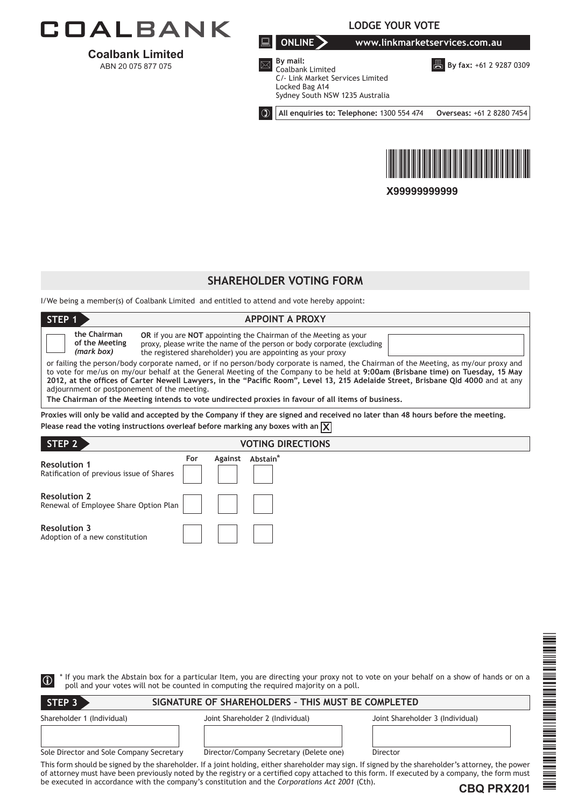

**Coalbank Limited**  ABN 20 075 877 075

**LODGE YOUR VOTE**

**ONLINE www.linkmarketservices.com.au**

**By fax:** +61 2 9287 0309



 **By mail:** Coalbank Limited C/- Link Market Services Limited Locked Bag A14 Sydney South NSW 1235 Australia

**All enquiries to: Telephone:** 1300 554 474 **Overseas:** +61 2 8280 7454



**X99999999999**

# **SHAREHOLDER VOTING FORM**

I/We being a member(s) of Coalbank Limited and entitled to attend and vote hereby appoint:

| STEP <sub>1</sub><br><b>APPOINT A PROXY</b>                                                                                                                                                                                                                                                                                                                                                                                                                                                                                                                                                                                                                                                                                                                                                                                        |  |  |  |  |  |
|------------------------------------------------------------------------------------------------------------------------------------------------------------------------------------------------------------------------------------------------------------------------------------------------------------------------------------------------------------------------------------------------------------------------------------------------------------------------------------------------------------------------------------------------------------------------------------------------------------------------------------------------------------------------------------------------------------------------------------------------------------------------------------------------------------------------------------|--|--|--|--|--|
| the Chairman<br>OR if you are NOT appointing the Chairman of the Meeting as your<br>of the Meeting<br>proxy, please write the name of the person or body corporate (excluding<br>(mark box)<br>the registered shareholder) you are appointing as your proxy<br>or failing the person/body corporate named, or if no person/body corporate is named, the Chairman of the Meeting, as my/our proxy and<br>to vote for me/us on my/our behalf at the General Meeting of the Company to be held at 9:00am (Brisbane time) on Tuesday, 15 May<br>2012, at the offices of Carter Newell Lawyers, in the "Pacific Room", Level 13, 215 Adelaide Street, Brisbane Qld 4000 and at any<br>adjournment or postponement of the meeting.<br>The Chairman of the Meeting intends to vote undirected proxies in favour of all items of business, |  |  |  |  |  |
| Proxies will only be valid and accepted by the Company if they are signed and received no later than 48 hours before the meeting.<br>Please read the voting instructions overleaf before marking any boxes with an $\chi$                                                                                                                                                                                                                                                                                                                                                                                                                                                                                                                                                                                                          |  |  |  |  |  |
| STEP 2<br><b>VOTING DIRECTIONS</b>                                                                                                                                                                                                                                                                                                                                                                                                                                                                                                                                                                                                                                                                                                                                                                                                 |  |  |  |  |  |
| Against Abstain*<br>For<br><b>Resolution 1</b><br>Ratification of previous issue of Shares                                                                                                                                                                                                                                                                                                                                                                                                                                                                                                                                                                                                                                                                                                                                         |  |  |  |  |  |
| <b>Resolution 2</b><br>Renewal of Employee Share Option Plan                                                                                                                                                                                                                                                                                                                                                                                                                                                                                                                                                                                                                                                                                                                                                                       |  |  |  |  |  |
| <b>Resolution 3</b><br>Adoption of a new constitution                                                                                                                                                                                                                                                                                                                                                                                                                                                                                                                                                                                                                                                                                                                                                                              |  |  |  |  |  |
|                                                                                                                                                                                                                                                                                                                                                                                                                                                                                                                                                                                                                                                                                                                                                                                                                                    |  |  |  |  |  |

| $\bigcirc$                               | poll and your votes will not be counted in computing the required majority on a poll.          | If you mark the Abstain box for a particular Item, you are directing your proxy not to vote on your behalf on a show of hands or on a                                                                                                                                                                              |
|------------------------------------------|------------------------------------------------------------------------------------------------|--------------------------------------------------------------------------------------------------------------------------------------------------------------------------------------------------------------------------------------------------------------------------------------------------------------------|
| STEP <sub>3</sub>                        | SIGNATURE OF SHAREHOLDERS - THIS MUST BE COMPLETED                                             |                                                                                                                                                                                                                                                                                                                    |
| Shareholder 1 (Individual)               | Joint Shareholder 2 (Individual)                                                               | Joint Shareholder 3 (Individual)                                                                                                                                                                                                                                                                                   |
| Sole Director and Sole Company Secretary | Director/Company Secretary (Delete one)                                                        | Director                                                                                                                                                                                                                                                                                                           |
|                                          | be executed in accordance with the company's constitution and the Corporations Act 2001 (Cth). | This form should be signed by the shareholder. If a joint holding, either shareholder may sign. If signed by the shareholder's attorney, the power<br>of attorney must have been previously noted by the registry or a certified copy attached to this form. If executed by a company, the form must<br>CRO DDY201 |